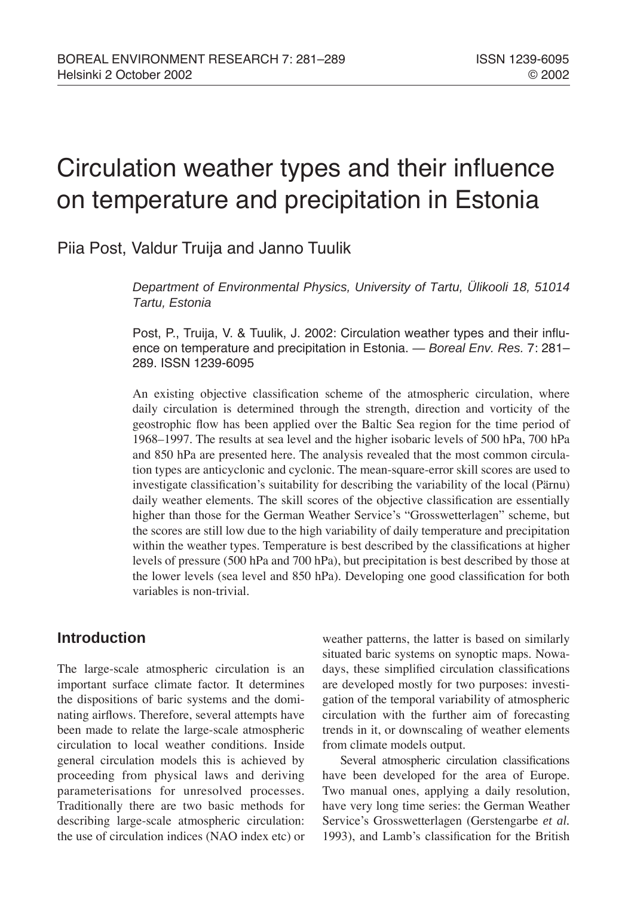# Circulation weather types and their influence on temperature and precipitation in Estonia

Piia Post, Valdur Truija and Janno Tuulik

*Department of Environmental Physics, University of Tartu, Ülikooli 18, 51014 Tartu, Estonia*

Post, P., Truija, V. & Tuulik, J. 2002: Circulation weather types and their influence on temperature and precipitation in Estonia. *— Boreal Env. Res.* 7: 281-289. ISSN 1239-6095

An existing objective classification scheme of the atmospheric circulation, where daily circulation is determined through the strength, direction and vorticity of the geostrophic flow has been applied over the Baltic Sea region for the time period of 1968–1997. The results at sea level and the higher isobaric levels of 500 hPa, 700 hPa and 850 hPa are presented here. The analysis revealed that the most common circulation types are anticyclonic and cyclonic. The mean-square-error skill scores are used to investigate classification's suitability for describing the variability of the local (Pärnu) daily weather elements. The skill scores of the objective classification are essentially higher than those for the German Weather Service's "Grosswetterlagen" scheme, but the scores are still low due to the high variability of daily temperature and precipitation within the weather types. Temperature is best described by the classifications at higher levels of pressure (500 hPa and 700 hPa), but precipitation is best described by those at the lower levels (sea level and 850 hPa). Developing one good classification for both variables is non-trivial.

# **Introduction**

The large-scale atmospheric circulation is an important surface climate factor. It determines the dispositions of baric systems and the dominating airflows. Therefore, several attempts have been made to relate the large-scale atmospheric circulation to local weather conditions. Inside general circulation models this is achieved by proceeding from physical laws and deriving parameterisations for unresolved processes. Traditionally there are two basic methods for describing large-scale atmospheric circulation: the use of circulation indices (NAO index etc) or weather patterns, the latter is based on similarly situated baric systems on synoptic maps. Nowadays, these simplified circulation classifications are developed mostly for two purposes: investigation of the temporal variability of atmospheric circulation with the further aim of forecasting trends in it, or downscaling of weather elements from climate models output.

Several atmospheric circulation classifications have been developed for the area of Europe. Two manual ones, applying a daily resolution, have very long time series: the German Weather Service's Grosswetterlagen (Gerstengarbe *et al.* 1993), and Lamb's classification for the British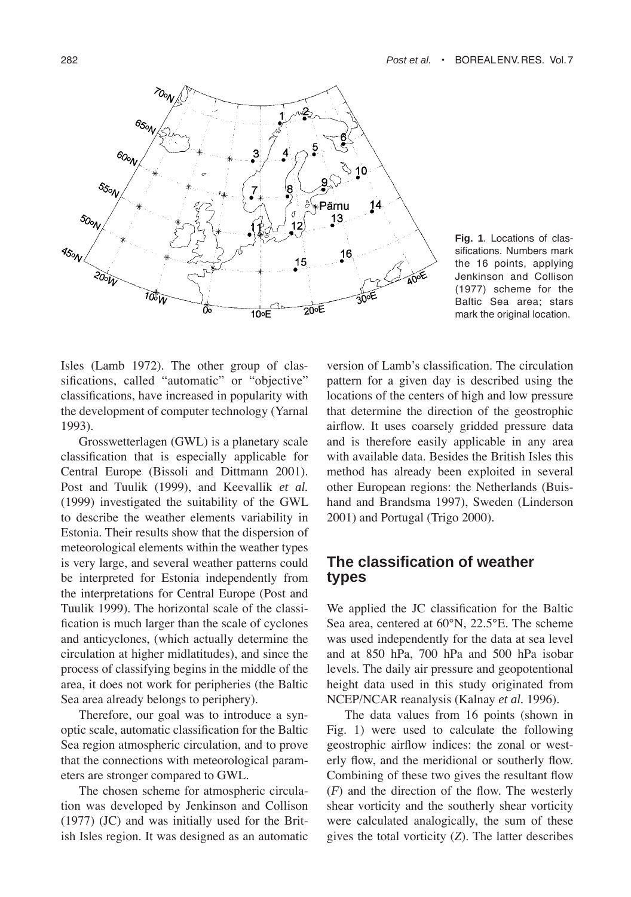

**Fig. 1**. Locations of classifications. Numbers mark the 16 points, applying Jenkinson and Collison (1977) scheme for the Baltic Sea area; stars mark the original location.

Isles (Lamb 1972). The other group of classifications, called "automatic" or "objective" classifications, have increased in popularity with the development of computer technology (Yarnal 1993).

Grosswetterlagen (GWL) is a planetary scale classification that is especially applicable for Central Europe (Bissoli and Dittmann 2001). Post and Tuulik (1999), and Keevallik *et al.* (1999) investigated the suitability of the GWL to describe the weather elements variability in Estonia. Their results show that the dispersion of meteorological elements within the weather types is very large, and several weather patterns could be interpreted for Estonia independently from the interpretations for Central Europe (Post and Tuulik 1999). The horizontal scale of the classification is much larger than the scale of cyclones and anticyclones, (which actually determine the circulation at higher midlatitudes), and since the process of classifying begins in the middle of the area, it does not work for peripheries (the Baltic Sea area already belongs to periphery).

Therefore, our goal was to introduce a synoptic scale, automatic classification for the Baltic Sea region atmospheric circulation, and to prove that the connections with meteorological parameters are stronger compared to GWL.

The chosen scheme for atmospheric circulation was developed by Jenkinson and Collison (1977) (JC) and was initially used for the British Isles region. It was designed as an automatic version of Lamb's classification. The circulation pattern for a given day is described using the locations of the centers of high and low pressure that determine the direction of the geostrophic airflow. It uses coarsely gridded pressure data and is therefore easily applicable in any area with available data. Besides the British Isles this method has already been exploited in several other European regions: the Netherlands (Buishand and Brandsma 1997), Sweden (Linderson 2001) and Portugal (Trigo 2000).

## **The classification of weather types**

We applied the JC classification for the Baltic Sea area, centered at 60°N, 22.5°E. The scheme was used independently for the data at sea level and at 850 hPa, 700 hPa and 500 hPa isobar levels. The daily air pressure and geopotentional height data used in this study originated from NCEP/NCAR reanalysis (Kalnay *et al.* 1996).

The data values from 16 points (shown in Fig. 1) were used to calculate the following geostrophic airflow indices: the zonal or westerly flow, and the meridional or southerly flow. Combining of these two gives the resultant flow (*F*) and the direction of the flow. The westerly shear vorticity and the southerly shear vorticity were calculated analogically, the sum of these gives the total vorticity (*Z*). The latter describes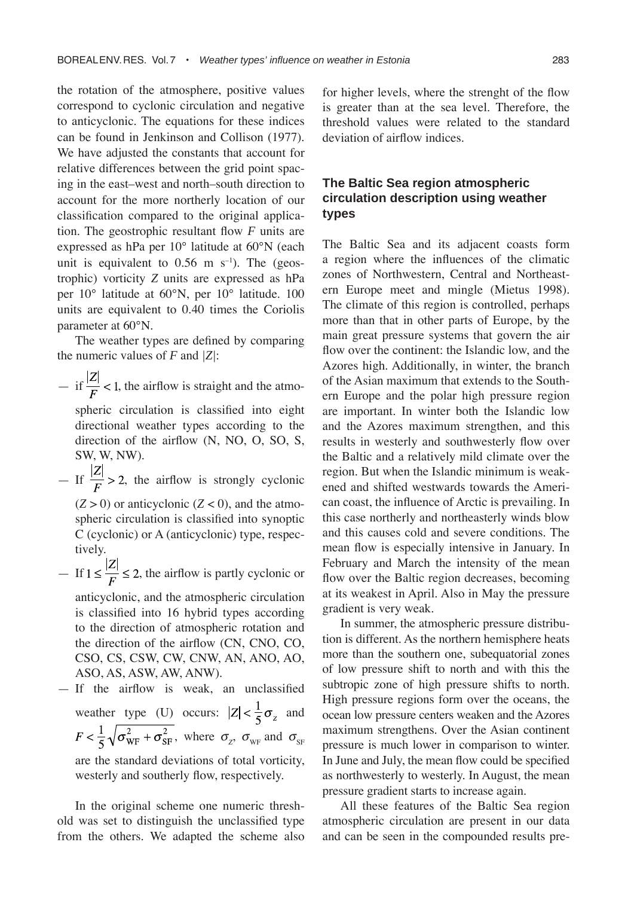the rotation of the atmosphere, positive values correspond to cyclonic circulation and negative to anticyclonic. The equations for these indices can be found in Jenkinson and Collison (1977). We have adjusted the constants that account for relative differences between the grid point spacing in the east–west and north–south direction to account for the more northerly location of our classification compared to the original application. The geostrophic resultant flow *F* units are expressed as hPa per 10° latitude at 60°N (each unit is equivalent to  $0.56$  m s<sup>-1</sup>). The (geostrophic) vorticity *Z* units are expressed as hPa per 10° latitude at 60°N, per 10° latitude. 100 units are equivalent to 0.40 times the Coriolis parameter at 60°N.

The weather types are defined by comparing the numeric values of *F* and *|Z|*:

- if 
$$
\frac{|Z|}{F}
$$
 < 1, the airflow is straight and the atmo-

spheric circulation is classified into eight directional weather types according to the direction of the airflow (N, NO, O, SO, S, SW, W, NW).

- If  $\frac{|Z|}{F} > 2$ , the airflow is strongly cyclonic

 $(Z > 0)$  or anticyclonic  $(Z < 0)$ , and the atmospheric circulation is classified into synoptic C (cyclonic) or A (anticyclonic) type, respectively.

 $-$  If  $1 \leq \frac{|Z|}{F} \leq 2$ , the airflow is partly cyclonic or anticyclonic, and the atmospheric circulation is classified into 16 hybrid types according to the direction of atmospheric rotation and the direction of the airflow (CN, CNO, CO,

CSO, CS, CSW, CW, CNW, AN, ANO, AO, ASO, AS, ASW, AW, ANW).  $-$  If the airflow is weak, an unclassified

weather type (U) occurs:  $|Z| < \frac{1}{5}\sigma_z$  and , where  $\sigma_z$ ,  $\sigma_{\text{WF}}$  and  $\sigma_{\text{SF}}$ are the standard deviations of total vorticity, westerly and southerly flow, respectively.

In the original scheme one numeric threshold was set to distinguish the unclassified type from the others. We adapted the scheme also for higher levels, where the strenght of the flow is greater than at the sea level. Therefore, the threshold values were related to the standard deviation of airflow indices.

### **The Baltic Sea region atmospheric circulation description using weather types**

The Baltic Sea and its adjacent coasts form a region where the influences of the climatic zones of Northwestern, Central and Northeastern Europe meet and mingle (Mietus 1998). The climate of this region is controlled, perhaps more than that in other parts of Europe, by the main great pressure systems that govern the air flow over the continent: the Islandic low, and the Azores high. Additionally, in winter, the branch of the Asian maximum that extends to the Southern Europe and the polar high pressure region are important. In winter both the Islandic low and the Azores maximum strengthen, and this results in westerly and southwesterly flow over the Baltic and a relatively mild climate over the region. But when the Islandic minimum is weakened and shifted westwards towards the American coast, the influence of Arctic is prevailing. In this case northerly and northeasterly winds blow and this causes cold and severe conditions. The mean flow is especially intensive in January. In February and March the intensity of the mean flow over the Baltic region decreases, becoming at its weakest in April. Also in May the pressure gradient is very weak.

In summer, the atmospheric pressure distribution is different. As the northern hemisphere heats more than the southern one, subequatorial zones of low pressure shift to north and with this the subtropic zone of high pressure shifts to north. High pressure regions form over the oceans, the ocean low pressure centers weaken and the Azores maximum strengthens. Over the Asian continent pressure is much lower in comparison to winter. In June and July, the mean flow could be specified as northwesterly to westerly. In August, the mean pressure gradient starts to increase again.

All these features of the Baltic Sea region atmospheric circulation are present in our data and can be seen in the compounded results pre-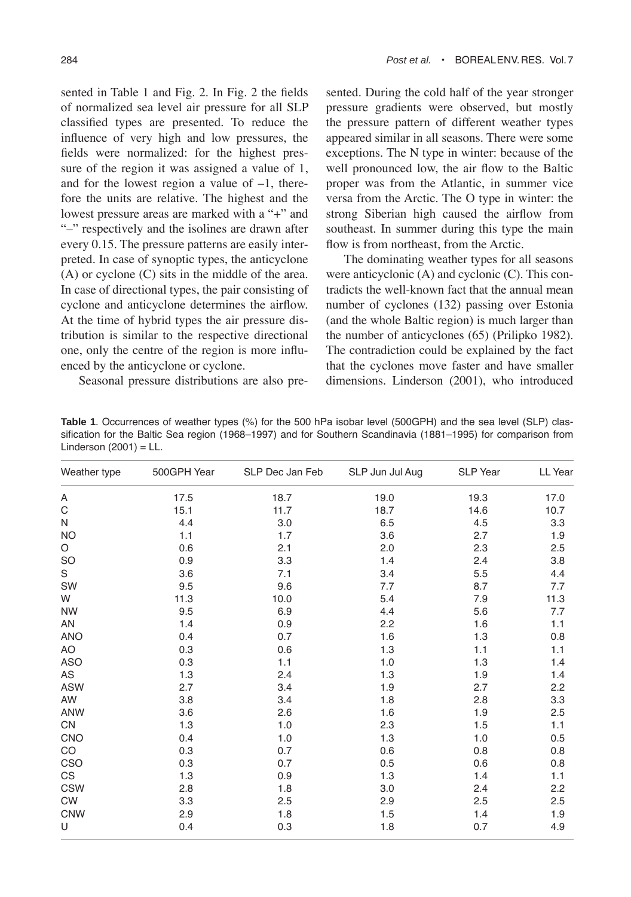sented in Table 1 and Fig. 2. In Fig. 2 the fields of normalized sea level air pressure for all SLP classified types are presented. To reduce the influence of very high and low pressures, the fields were normalized: for the highest pressure of the region it was assigned a value of 1, and for the lowest region a value of  $-1$ , therefore the units are relative. The highest and the lowest pressure areas are marked with a "+" and "-" respectively and the isolines are drawn after every 0.15. The pressure patterns are easily interpreted. In case of synoptic types, the anticyclone (A) or cyclone (C) sits in the middle of the area. In case of directional types, the pair consisting of cyclone and anticyclone determines the airflow. At the time of hybrid types the air pressure distribution is similar to the respective directional one, only the centre of the region is more influenced by the anticyclone or cyclone.

Seasonal pressure distributions are also pre-

sented. During the cold half of the year stronger pressure gradients were observed, but mostly the pressure pattern of different weather types appeared similar in all seasons. There were some exceptions. The N type in winter: because of the well pronounced low, the air flow to the Baltic proper was from the Atlantic, in summer vice versa from the Arctic. The O type in winter: the strong Siberian high caused the airflow from southeast. In summer during this type the main flow is from northeast, from the Arctic.

The dominating weather types for all seasons were anticyclonic (A) and cyclonic (C). This contradicts the well-known fact that the annual mean number of cyclones (132) passing over Estonia (and the whole Baltic region) is much larger than the number of anticyclones (65) (Prilipko 1982). The contradiction could be explained by the fact that the cyclones move faster and have smaller dimensions. Linderson (2001), who introduced

|                          | Table 1. Occurrences of weather types (%) for the 500 hPa isobar level (500GPH) and the sea level (SLP) clas- |  |  |  |  |
|--------------------------|---------------------------------------------------------------------------------------------------------------|--|--|--|--|
|                          | sification for the Baltic Sea region (1968–1997) and for Southern Scandinavia (1881–1995) for comparison from |  |  |  |  |
| Linderson $(2001)$ = LL. |                                                                                                               |  |  |  |  |

| Weather type | 500GPH Year | SLP Dec Jan Feb | SLP Jun Jul Aug | SLP Year | LL Year |
|--------------|-------------|-----------------|-----------------|----------|---------|
| Α            | 17.5        | 18.7            | 19.0            | 19.3     | 17.0    |
| $\mathsf C$  | 15.1        | 11.7            | 18.7            | 14.6     | 10.7    |
| N            | 4.4         | 3.0             | 6.5             | 4.5      | 3.3     |
| <b>NO</b>    | 1.1         | 1.7             | 3.6             | 2.7      | 1.9     |
| $\circ$      | 0.6         | 2.1             | 2.0             | 2.3      | 2.5     |
| <b>SO</b>    | 0.9         | 3.3             | 1.4             | 2.4      | 3.8     |
| S            | 3.6         | 7.1             | 3.4             | 5.5      | 4.4     |
| SW           | 9.5         | 9.6             | 7.7             | 8.7      | 7.7     |
| W            | 11.3        | 10.0            | 5.4             | 7.9      | 11.3    |
| <b>NW</b>    | 9.5         | 6.9             | 4.4             | 5.6      | 7.7     |
| AN           | 1.4         | 0.9             | 2.2             | 1.6      | 1.1     |
| <b>ANO</b>   | 0.4         | 0.7             | 1.6             | 1.3      | 0.8     |
| AO           | 0.3         | 0.6             | 1.3             | 1.1      | 1.1     |
| ASO          | 0.3         | 1.1             | 1.0             | 1.3      | 1.4     |
| AS           | 1.3         | 2.4             | 1.3             | 1.9      | 1.4     |
| <b>ASW</b>   | 2.7         | 3.4             | 1.9             | 2.7      | 2.2     |
| AW           | 3.8         | 3.4             | 1.8             | 2.8      | 3.3     |
| ANW          | 3.6         | 2.6             | 1.6             | 1.9      | 2.5     |
| CN           | 1.3         | 1.0             | 2.3             | 1.5      | 1.1     |
| <b>CNO</b>   | 0.4         | 1.0             | 1.3             | 1.0      | 0.5     |
| CO           | 0.3         | 0.7             | 0.6             | 0.8      | 0.8     |
| CSO          | 0.3         | 0.7             | 0.5             | 0.6      | 0.8     |
| CS           | 1.3         | 0.9             | 1.3             | 1.4      | 1.1     |
| <b>CSW</b>   | 2.8         | 1.8             | 3.0             | 2.4      | 2.2     |
| CW           | 3.3         | 2.5             | 2.9             | 2.5      | 2.5     |
| <b>CNW</b>   | 2.9         | 1.8             | 1.5             | 1.4      | 1.9     |
| U            | 0.4         | 0.3             | 1.8             | 0.7      | 4.9     |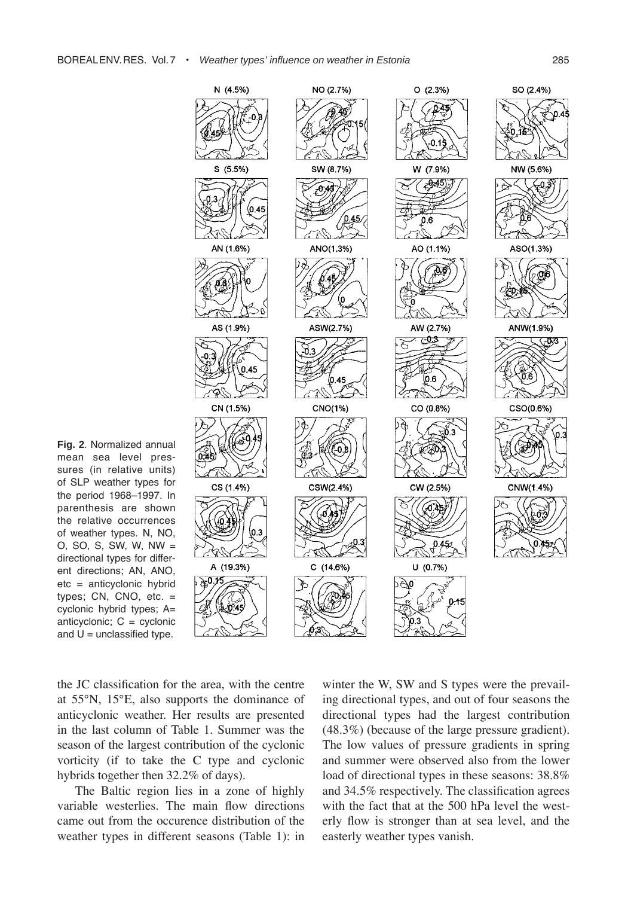

**Fig. 2**. Normalized annual mean sea level pressures (in relative units) of SLP weather types for the period 1968-1997. In parenthesis are shown the relative occurrences of weather types. N, NO, O, SO, S, SW, W, NW = directional types for different directions; AN, ANO, etc = anticyclonic hybrid types; CN, CNO, etc. = cyclonic hybrid types; A= anticyclonic;  $C =$  cyclonic and  $U =$  unclassified type.

the JC classification for the area, with the centre at 55°N, 15°E, also supports the dominance of anticyclonic weather. Her results are presented in the last column of Table 1. Summer was the season of the largest contribution of the cyclonic vorticity (if to take the C type and cyclonic hybrids together then 32.2% of days).

The Baltic region lies in a zone of highly variable westerlies. The main flow directions came out from the occurence distribution of the weather types in different seasons (Table 1): in winter the W, SW and S types were the prevailing directional types, and out of four seasons the directional types had the largest contribution (48.3%) (because of the large pressure gradient). The low values of pressure gradients in spring and summer were observed also from the lower load of directional types in these seasons: 38.8% and 34.5% respectively. The classification agrees with the fact that at the 500 hPa level the westerly flow is stronger than at sea level, and the easterly weather types vanish.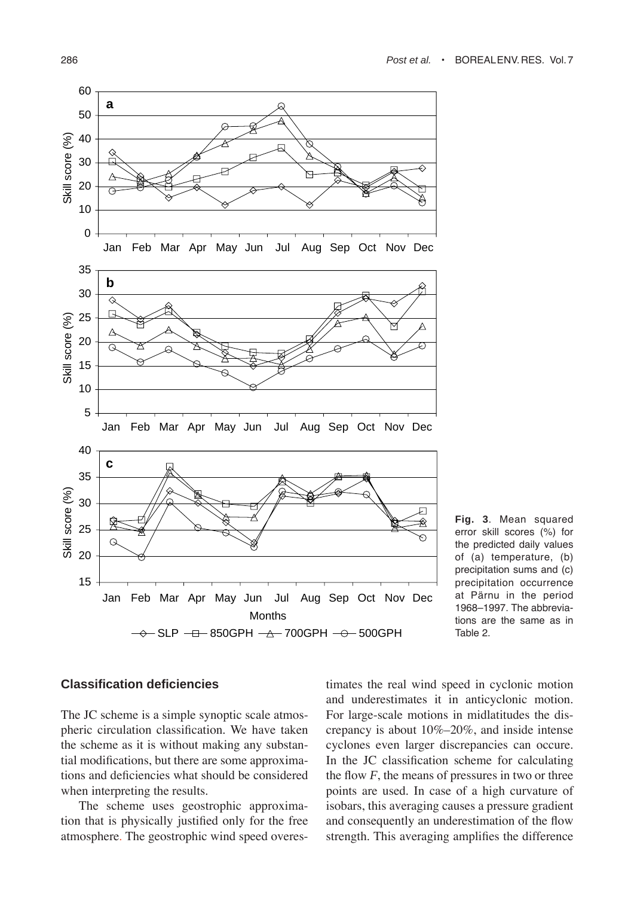

**Fig. 3**. Mean squared error skill scores (%) for the predicted daily values of (a) temperature, (b) precipitation sums and (c) precipitation occurrence at Pärnu in the period 1968-1997. The abbreviations are the same as in Table 2.

#### **Classification deficiencies**

The JC scheme is a simple synoptic scale atmospheric circulation classification. We have taken the scheme as it is without making any substantial modifications, but there are some approximations and deficiencies what should be considered when interpreting the results.

The scheme uses geostrophic approximation that is physically justified only for the free atmosphere. The geostrophic wind speed overestimates the real wind speed in cyclonic motion and underestimates it in anticyclonic motion. For large-scale motions in midlatitudes the discrepancy is about  $10\% - 20\%$ , and inside intense cyclones even larger discrepancies can occure. In the JC classification scheme for calculating the flow  $F$ , the means of pressures in two or three points are used. In case of a high curvature of isobars, this averaging causes a pressure gradient and consequently an underestimation of the flow strength. This averaging amplifies the difference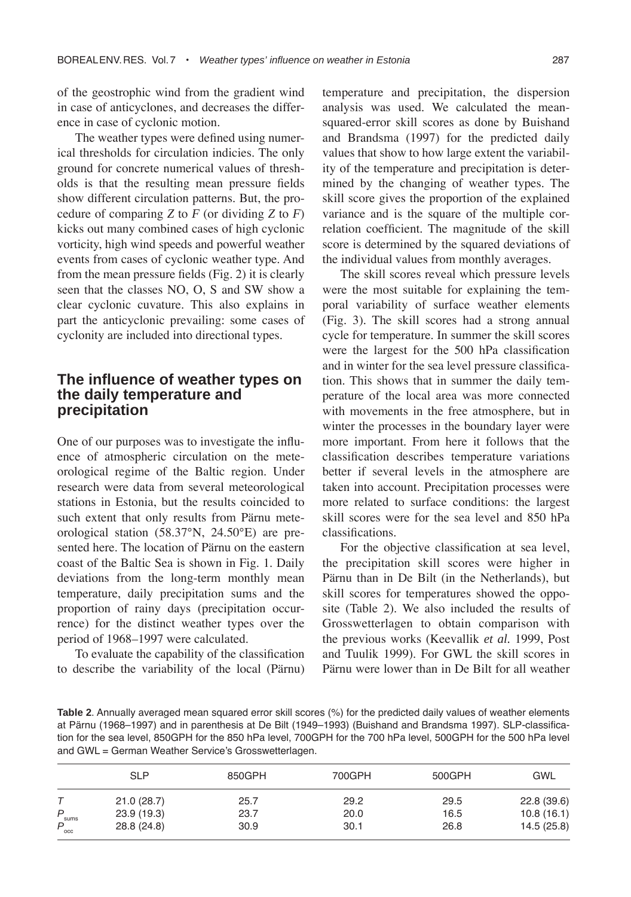of the geostrophic wind from the gradient wind in case of anticyclones, and decreases the difference in case of cyclonic motion.

The weather types were defined using numerical thresholds for circulation indicies. The only ground for concrete numerical values of thresholds is that the resulting mean pressure fields show different circulation patterns. But, the procedure of comparing *Z* to *F* (or dividing *Z* to *F*) kicks out many combined cases of high cyclonic vorticity, high wind speeds and powerful weather events from cases of cyclonic weather type. And from the mean pressure fields (Fig. 2) it is clearly seen that the classes NO, O, S and SW show a clear cyclonic cuvature. This also explains in part the anticyclonic prevailing: some cases of cyclonity are included into directional types.

## **The influence of weather types on the daily temperature and precipitation**

One of our purposes was to investigate the influence of atmospheric circulation on the meteorological regime of the Baltic region. Under research were data from several meteorological stations in Estonia, but the results coincided to such extent that only results from Pärnu meteorological station (58.37°N, 24.50°E) are presented here. The location of Pärnu on the eastern coast of the Baltic Sea is shown in Fig. 1. Daily deviations from the long-term monthly mean temperature, daily precipitation sums and the proportion of rainy days (precipitation occurrence) for the distinct weather types over the period of 1968–1997 were calculated.

To evaluate the capability of the classification to describe the variability of the local (Pärnu) temperature and precipitation, the dispersion analysis was used. We calculated the meansquared-error skill scores as done by Buishand and Brandsma (1997) for the predicted daily values that show to how large extent the variability of the temperature and precipitation is determined by the changing of weather types. The skill score gives the proportion of the explained variance and is the square of the multiple correlation coefficient. The magnitude of the skill score is determined by the squared deviations of the individual values from monthly averages.

The skill scores reveal which pressure levels were the most suitable for explaining the temporal variability of surface weather elements (Fig. 3). The skill scores had a strong annual cycle for temperature. In summer the skill scores were the largest for the 500 hPa classification and in winter for the sea level pressure classification. This shows that in summer the daily temperature of the local area was more connected with movements in the free atmosphere, but in winter the processes in the boundary layer were more important. From here it follows that the classification describes temperature variations better if several levels in the atmosphere are taken into account. Precipitation processes were more related to surface conditions: the largest skill scores were for the sea level and 850 hPa classifications.

For the objective classification at sea level, the precipitation skill scores were higher in Pärnu than in De Bilt (in the Netherlands), but skill scores for temperatures showed the opposite (Table 2). We also included the results of Grosswetterlagen to obtain comparison with the previous works (Keevallik *et al.* 1999, Post and Tuulik 1999). For GWL the skill scores in Pärnu were lower than in De Bilt for all weather

| Table 2. Annually averaged mean squared error skill scores (%) for the predicted daily values of weather elements |
|-------------------------------------------------------------------------------------------------------------------|
| at Pärnu (1968–1997) and in parenthesis at De Bilt (1949–1993) (Buishand and Brandsma 1997). SLP-classifica-      |
| tion for the sea level. 850GPH for the 850 hPa level. 700GPH for the 700 hPa level. 500GPH for the 500 hPa level  |
| and GWL = German Weather Service's Grosswetterlagen.                                                              |

|               | <b>SLP</b>  | 850GPH | 700GPH | 500GPH | <b>GWL</b> |
|---------------|-------------|--------|--------|--------|------------|
|               | 21.0(28.7)  | 25.7   | 29.2   | 29.5   | 22.8(39.6) |
| P<br>sums     | 23.9(19.3)  | 23.7   | 20.0   | 16.5   | 10.8(16.1) |
| $P_{\rm occ}$ | 28.8 (24.8) | 30.9   | 30.1   | 26.8   | 14.5(25.8) |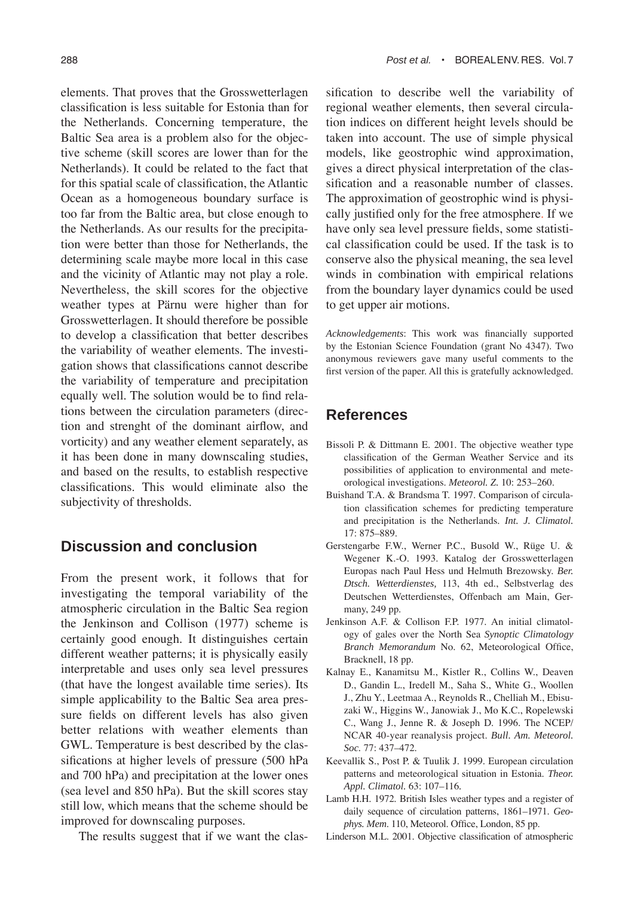elements. That proves that the Grosswetterlagen classification is less suitable for Estonia than for the Netherlands. Concerning temperature, the Baltic Sea area is a problem also for the objective scheme (skill scores are lower than for the Netherlands). It could be related to the fact that for this spatial scale of classification, the Atlantic Ocean as a homogeneous boundary surface is too far from the Baltic area, but close enough to the Netherlands. As our results for the precipitation were better than those for Netherlands, the determining scale maybe more local in this case and the vicinity of Atlantic may not play a role. Nevertheless, the skill scores for the objective weather types at Pärnu were higher than for Grosswetterlagen. It should therefore be possible to develop a classification that better describes the variability of weather elements. The investigation shows that classifications cannot describe the variability of temperature and precipitation equally well. The solution would be to find relations between the circulation parameters (direction and strenght of the dominant airflow, and vorticity) and any weather element separately, as it has been done in many downscaling studies, and based on the results, to establish respective classifications. This would eliminate also the subjectivity of thresholds.

# **Discussion and conclusion**

From the present work, it follows that for investigating the temporal variability of the atmospheric circulation in the Baltic Sea region the Jenkinson and Collison (1977) scheme is certainly good enough. It distinguishes certain different weather patterns; it is physically easily interpretable and uses only sea level pressures (that have the longest available time series). Its simple applicability to the Baltic Sea area pressure fields on different levels has also given better relations with weather elements than GWL. Temperature is best described by the classifications at higher levels of pressure (500 hPa and 700 hPa) and precipitation at the lower ones (sea level and 850 hPa). But the skill scores stay still low, which means that the scheme should be improved for downscaling purposes.

The results suggest that if we want the clas-

sification to describe well the variability of regional weather elements, then several circulation indices on different height levels should be taken into account. The use of simple physical models, like geostrophic wind approximation, gives a direct physical interpretation of the classification and a reasonable number of classes. The approximation of geostrophic wind is physically justified only for the free atmosphere. If we have only sea level pressure fields, some statistical classification could be used. If the task is to conserve also the physical meaning, the sea level winds in combination with empirical relations from the boundary layer dynamics could be used to get upper air motions.

*Acknowledgements*: This work was financially supported by the Estonian Science Foundation (grant No 4347). Two anonymous reviewers gave many useful comments to the first version of the paper. All this is gratefully acknowledged.

# **References**

- Bissoli P. & Dittmann E. 2001. The objective weather type classification of the German Weather Service and its possibilities of application to environmental and meteorological investigations. *Meteorol.* Z. 10: 253-260.
- Buishand T.A. & Brandsma T. 1997. Comparison of circulation classification schemes for predicting temperature and precipitation is the Netherlands. *Int. J. Climatol.* 17: 875-889.
- Gerstengarbe F.W., Werner P.C., Busold W., Rüge U. & Wegener K.-O. 1993. Katalog der Grosswetterlagen Europas nach Paul Hess und Helmuth Brezowsky. *Ber. Dtsch. Wetterdienstes,* 113, 4th ed., Selbstverlag des Deutschen Wetterdienstes, Offenbach am Main, Germany, 249 pp.
- Jenkinson A.F. & Collison F.P. 1977. An initial climatology of gales over the North Sea *Synoptic Climatology Branch Memorandum* No. 62, Meteorological Office, Bracknell, 18 pp.
- Kalnay E., Kanamitsu M., Kistler R., Collins W., Deaven D., Gandin L., Iredell M., Saha S., White G., Woollen J., Zhu Y., Leetmaa A., Reynolds R., Chelliah M., Ebisuzaki W., Higgins W., Janowiak J., Mo K.C., Ropelewski C., Wang J., Jenne R. & Joseph D. 1996. The NCEP/ NCAR 40-year reanalysis project. *Bull. Am. Meteorol. Soc.* 77: 437-472.
- Keevallik S., Post P. & Tuulik J. 1999. European circulation patterns and meteorological situation in Estonia. *Theor. Appl. Climatol.* 63: 107-116*.*
- Lamb H.H. 1972. British Isles weather types and a register of daily sequence of circulation patterns, 1861-1971. *Geophys. Mem*. 110, Meteorol. Office, London, 85 pp.
- Linderson M.L. 2001. Objective classification of atmospheric